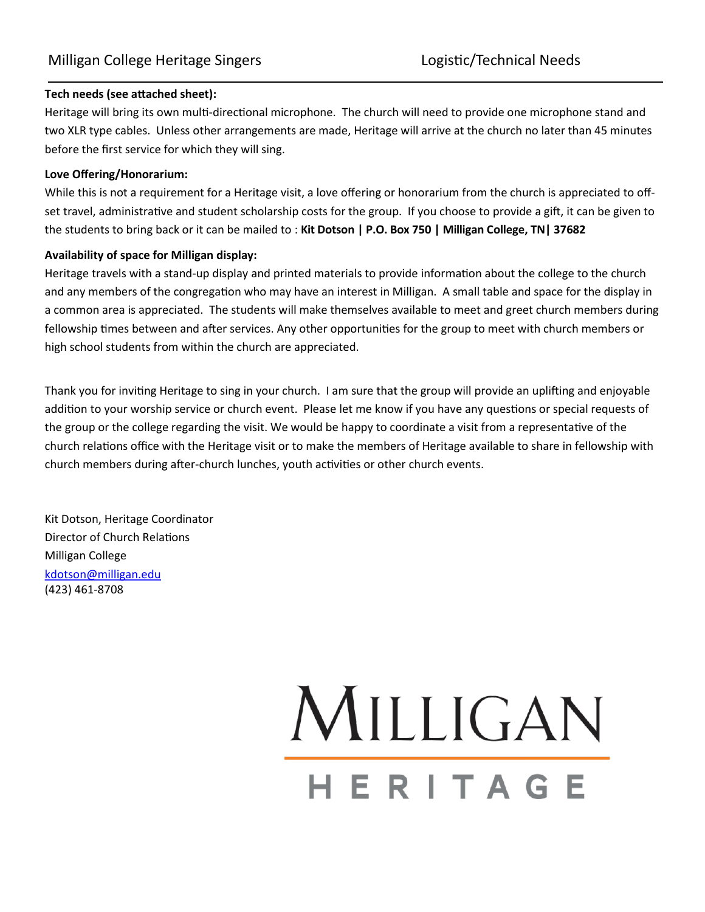### **Tech needs (see attached sheet):**

Heritage will bring its own multi-directional microphone. The church will need to provide one microphone stand and two XLR type cables. Unless other arrangements are made, Heritage will arrive at the church no later than 45 minutes before the first service for which they will sing.

### **Love Offering/Honorarium:**

While this is not a requirement for a Heritage visit, a love offering or honorarium from the church is appreciated to offset travel, administrative and student scholarship costs for the group. If you choose to provide a gift, it can be given to the students to bring back or it can be mailed to : **Kit Dotson | P.O. Box 750 | Milligan College, TN| 37682** 

#### **Availability of space for Milligan display:**

Heritage travels with a stand-up display and printed materials to provide information about the college to the church and any members of the congregation who may have an interest in Milligan. A small table and space for the display in a common area is appreciated. The students will make themselves available to meet and greet church members during fellowship times between and after services. Any other opportunities for the group to meet with church members or high school students from within the church are appreciated.

Thank you for inviting Heritage to sing in your church. I am sure that the group will provide an uplifting and enjoyable addition to your worship service or church event. Please let me know if you have any questions or special requests of the group or the college regarding the visit. We would be happy to coordinate a visit from a representative of the church relations office with the Heritage visit or to make the members of Heritage available to share in fellowship with church members during after-church lunches, youth activities or other church events.

Kit Dotson, Heritage Coordinator Director of Church Relations Milligan College [kdotson@milligan.edu](mailto:kdotson@milligan.edu) (423) 461-8708

# MILLIGAN HERITAGE